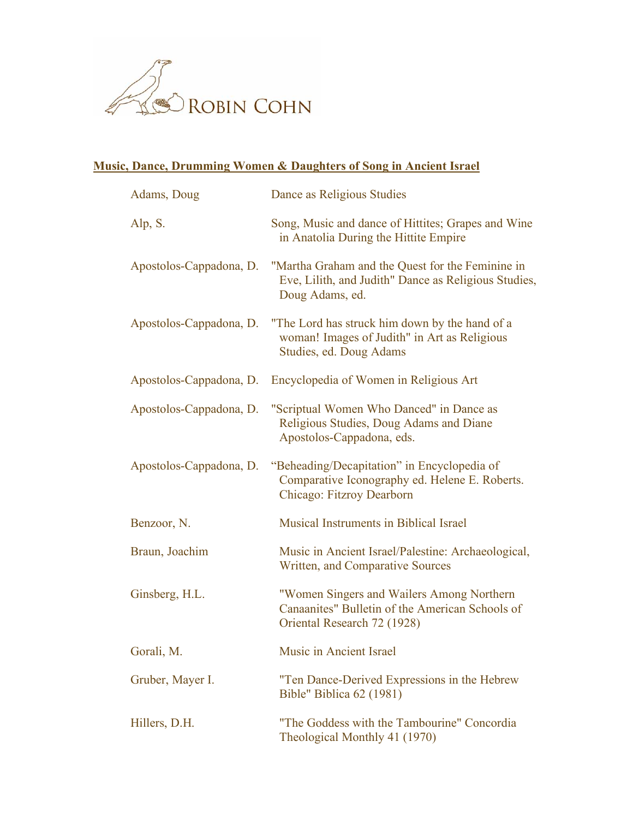

## **Music, Dance, Drumming Women & Daughters of Song in Ancient Israel**

| Adams, Doug             | Dance as Religious Studies                                                                                                  |
|-------------------------|-----------------------------------------------------------------------------------------------------------------------------|
| Alp, S.                 | Song, Music and dance of Hittites; Grapes and Wine<br>in Anatolia During the Hittite Empire                                 |
| Apostolos-Cappadona, D. | "Martha Graham and the Quest for the Feminine in<br>Eve, Lilith, and Judith" Dance as Religious Studies,<br>Doug Adams, ed. |
| Apostolos-Cappadona, D. | "The Lord has struck him down by the hand of a<br>woman! Images of Judith" in Art as Religious<br>Studies, ed. Doug Adams   |
| Apostolos-Cappadona, D. | Encyclopedia of Women in Religious Art                                                                                      |
| Apostolos-Cappadona, D. | "Scriptual Women Who Danced" in Dance as<br>Religious Studies, Doug Adams and Diane<br>Apostolos-Cappadona, eds.            |
| Apostolos-Cappadona, D. | "Beheading/Decapitation" in Encyclopedia of<br>Comparative Iconography ed. Helene E. Roberts.<br>Chicago: Fitzroy Dearborn  |
| Benzoor, N.             | Musical Instruments in Biblical Israel                                                                                      |
| Braun, Joachim          | Music in Ancient Israel/Palestine: Archaeological,<br>Written, and Comparative Sources                                      |
| Ginsberg, H.L.          | "Women Singers and Wailers Among Northern<br>Canaanites" Bulletin of the American Schools of<br>Oriental Research 72 (1928) |
| Gorali, M.              | Music in Ancient Israel                                                                                                     |
| Gruber, Mayer I.        | "Ten Dance-Derived Expressions in the Hebrew<br>Bible" Biblica 62 (1981)                                                    |
| Hillers, D.H.           | "The Goddess with the Tambourine" Concordia<br>Theological Monthly 41 (1970)                                                |